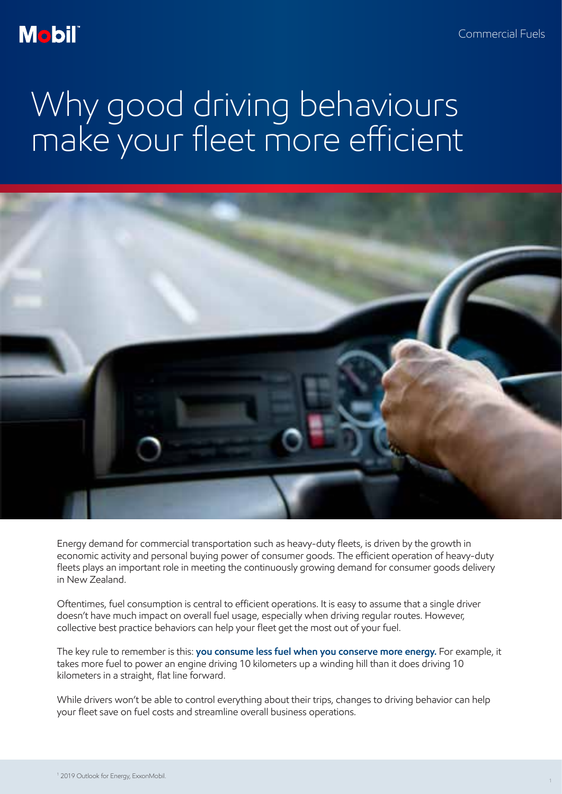### **Mobil**

## Why good driving behaviours make your fleet more efficient



Energy demand for commercial transportation such as heavy-duty fleets, is driven by the growth in economic activity and personal buying power of consumer goods. The efficient operation of heavy-duty fleets plays an important role in meeting the continuously growing demand for consumer goods delivery in New Zealand.

Oftentimes, fuel consumption is central to efficient operations. It is easy to assume that a single driver doesn't have much impact on overall fuel usage, especially when driving regular routes. However, collective best practice behaviors can help your fleet get the most out of your fuel.

The key rule to remember is this: **you consume less fuel when you conserve more energy.** For example, it takes more fuel to power an engine driving 10 kilometers up a winding hill than it does driving 10 kilometers in a straight, flat line forward.

While drivers won't be able to control everything about their trips, changes to driving behavior can help your fleet save on fuel costs and streamline overall business operations.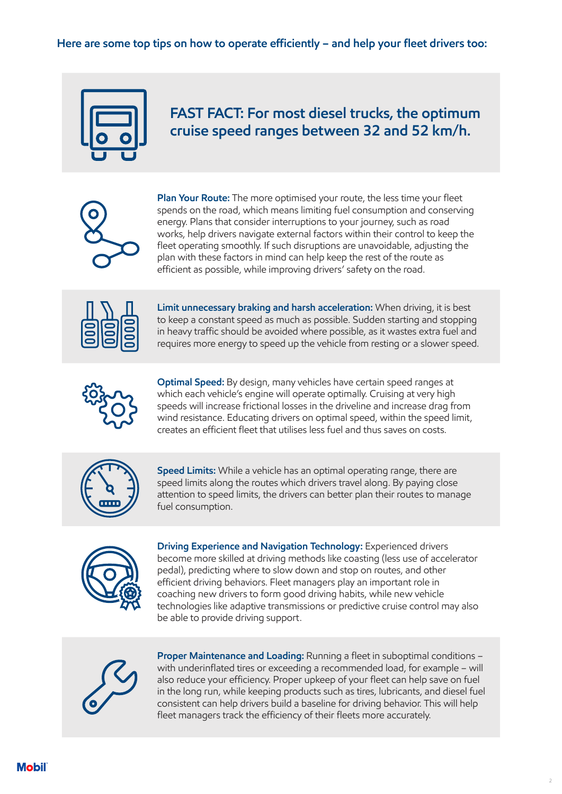#### **Here are some top tips on how to operate efficiently – and help your fleet drivers too:**



#### **FAST FACT: For most diesel trucks, the optimum cruise speed ranges between 32 and 52 km/h.**



**Plan Your Route:** The more optimised your route, the less time your fleet spends on the road, which means limiting fuel consumption and conserving energy. Plans that consider interruptions to your journey, such as road works, help drivers navigate external factors within their control to keep the fleet operating smoothly. If such disruptions are unavoidable, adjusting the plan with these factors in mind can help keep the rest of the route as efficient as possible, while improving drivers' safety on the road.



**Limit unnecessary braking and harsh acceleration:** When driving, it is best to keep a constant speed as much as possible. Sudden starting and stopping in heavy traffic should be avoided where possible, as it wastes extra fuel and requires more energy to speed up the vehicle from resting or a slower speed.



**Optimal Speed:** By design, many vehicles have certain speed ranges at which each vehicle's engine will operate optimally. Cruising at very high speeds will increase frictional losses in the driveline and increase drag from wind resistance. Educating drivers on optimal speed, within the speed limit, creates an efficient fleet that utilises less fuel and thus saves on costs.



**Speed Limits:** While a vehicle has an optimal operating range, there are speed limits along the routes which drivers travel along. By paying close attention to speed limits, the drivers can better plan their routes to manage fuel consumption.



**Driving Experience and Navigation Technology:** Experienced drivers become more skilled at driving methods like coasting (less use of accelerator pedal), predicting where to slow down and stop on routes, and other efficient driving behaviors. Fleet managers play an important role in coaching new drivers to form good driving habits, while new vehicle technologies like adaptive transmissions or predictive cruise control may also be able to provide driving support.



**Proper Maintenance and Loading:** Running a fleet in suboptimal conditions – with underinflated tires or exceeding a recommended load, for example – will also reduce your efficiency. Proper upkeep of your fleet can help save on fuel in the long run, while keeping products such as tires, lubricants, and diesel fuel consistent can help drivers build a baseline for driving behavior. This will help fleet managers track the efficiency of their fleets more accurately.